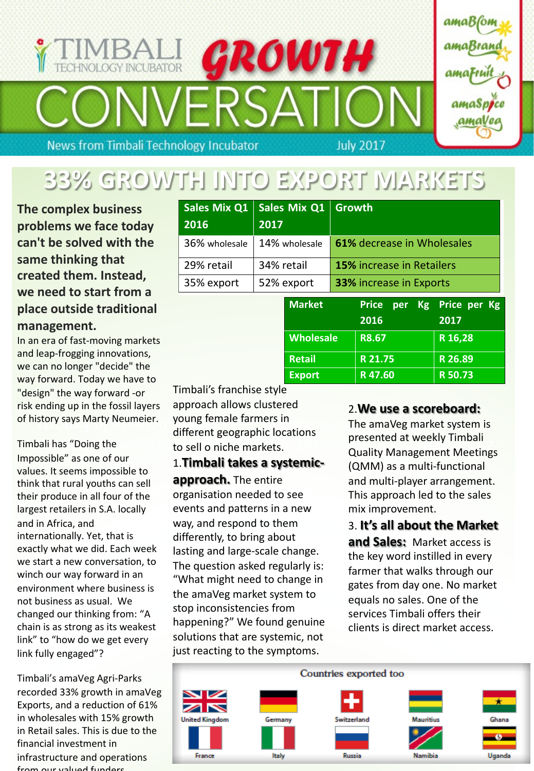# ROWTH **HNOLOGY INCUBATOR News from Timbali Technology Incubator July 2017**



# **33% GROWTH INTO EXPORT MARKETS**

**The complex business problems we face today can't be solved with the same thinking that created them. Instead, we need to start from a place outside traditional management.**

In an era of fast-moving markets and leap-frogging innovations, we can no longer "decide" the way forward. Today we have to "design" the way forward -or risk ending up in the fossil layers of history says Marty Neumeier.

Timbali has "Doing the Impossible" as one of our values. It seems impossible to think that rural youths can sell their produce in all four of the largest retailers in S.A. locally and in Africa, and internationally. Yet, that is exactly what we did. Each week we start a new conversation, to winch our way forward in an environment where business is not business as usual. We changed our thinking from: "A chain is as strong as its weakest link" to "how do we get every link fully engaged"?

Timbali's amaVeg Agri-Parks recorded 33% growth in amaVeg Exports, and a reduction of 61% in wholesales with 15% growth in Retail sales. This is due to the financial investment in infrastructure and operations from our valued funders.

| <b>Sales Mix Q1</b><br>2016 | Sales Mix Q1 Growth<br>2017 |                                |
|-----------------------------|-----------------------------|--------------------------------|
| 36% wholesale               | 14% wholesale               | 61% decrease in Wholesales     |
| 29% retail                  | 34% retail                  | 15% increase in Retailers      |
| 35% export                  | 52% export                  | <b>33% increase in Exports</b> |

| <b>Market</b>    | <b>Price</b><br>per | <b>Kg</b> Price per Kg |
|------------------|---------------------|------------------------|
|                  | 2016                | 2017                   |
| <b>Wholesale</b> | R8.67               | R 16,28                |
| <b>Retail</b>    | R 21.75             | R 26.89                |
| <b>Export</b>    | R47.60              | R 50.73                |

story says warty weumeler. young temale farmers in The amaVeg market system is Timbali's franchise style approach allows clustered young female farmers in different geographic locations

in S.A. locally  $\qquad$  events and patterns in a new  $\qquad$  mix improvement Frural youths can sell the set organisation needed to see This approach led to the successive organisation needed to see 1.**Timbali takes a systemicapproach.** The entire way, and respond to them differently, to bring about lasting and large-scale change. The question asked regularly is: "What might need to change in the amaVeg market system to stop inconsistencies from happening?" We found genuine solutions that are systemic, not just reacting to the symptoms.

### 2.**We use a scoreboard:**

bali has "Doing the to sell o niche markets. presented at weekly Timbali Quality Management Meetings (QMM) as a multi-functional and multi-player arrangement. This approach led to the sales mix improvement.

### 3. **It's all about the Market**

**and Sales:** Market access is the key word instilled in every farmer that walks through our gates from day one. No market equals no sales. One of the services Timbali offers their clients is direct market access.